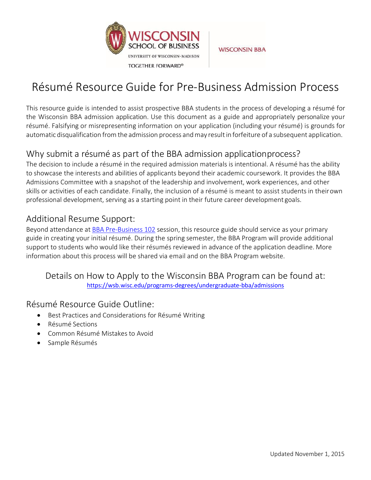

**WISCONSIN BBA** 

# Résumé Resource Guide for Pre-Business Admission Process

This resource guide is intended to assist prospective BBA students in the process of developing a résumé for the Wisconsin BBA admission application. Use this document as a guide and appropriately personalize your résumé. Falsifying or misrepresenting information on your application (including your résumé) is grounds for automatic disqualification from the admission process and may result in forfeiture of a subsequent application.

## Why submit a résumé as part of the BBA admission applicationprocess?

The decision to include a résumé in the required admission materials is intentional. A résumé has the ability to showcase the interests and abilities of applicants beyond their academic coursework. It provides the BBA Admissions Committee with a snapshot of the leadership and involvement, work experiences, and other skills or activities of each candidate. Finally, the inclusion of a résumé is meant to assist students in theirown professional development, serving as a starting point in their future career development goals.

## Additional Resume Support:

Beyond attendance at **BBA Pre-Business 102** session, this resource guide should service as your primary guide in creating your initial résumé. During the spring semester, the BBA Program will provide additional support to students who would like their résumés reviewed in advance of the application deadline. More information about this process will be shared via email and on the BBA Program website.

### Details on How to Apply to the Wisconsin BBA Program can be found at: <https://wsb.wisc.edu/programs-degrees/undergraduate-bba/admissions>

### Résumé Resource Guide Outline:

- Best Practices and Considerations for Résumé Writing
- Résumé Sections
- Common Résumé Mistakes to Avoid
- Sample Résumés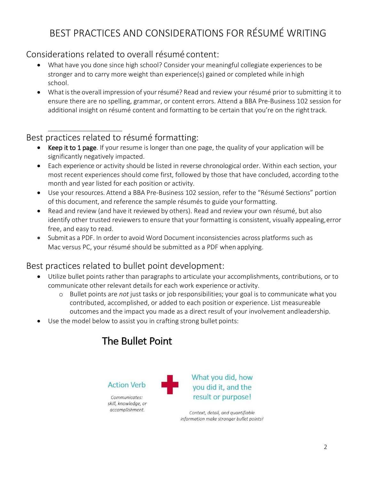# BEST PRACTICES AND CONSIDERATIONS FOR RÉSUMÉ WRITING

## Considerations related to overall résumé content:

- What have you done since high school? Consider your meaningful collegiate experiences to be stronger and to carry more weight than experience(s) gained or completed while inhigh school.
- What is the overall impression of your résumé? Read and review your résumé prior to submitting it to ensure there are no spelling, grammar, or content errors. Attend a BBA Pre-Business 102 session for additional insight on résumé content and formatting to be certain that you're on the right track.

# Best practices related to résumé formatting:

- Keep it to 1 page. If your resume is longer than one page, the quality of your application will be significantly negatively impacted.
- Each experience or activity should be listed in reverse chronological order. Within each section, your most recent experiences should come first, followed by those that have concluded, according tothe month and year listed for each position or activity.
- Use your resources. Attend a BBA Pre-Business 102 session, refer to the "Résumé Sections" portion of this document, and reference the sample résumés to guide yourformatting.
- Read and review (and have it reviewed by others). Read and review your own résumé, but also identify other trusted reviewers to ensure that your formatting is consistent, visually appealing, error free, and easy to read.
- Submit as a PDF. In order to avoid Word Document inconsistencies across platforms such as Mac versus PC, your résumé should be submitted as a PDF when applying.

# Best practices related to bullet point development:

- Utilize bullet points rather than paragraphs to articulate your accomplishments, contributions, or to communicate other relevant details for each work experience or activity.
	- o Bullet points are *not* just tasks or job responsibilities; your goal is to communicate what you contributed, accomplished, or added to each position or experience. List measureable outcomes and the impact you made as a direct result of your involvement andleadership.
- Use the model below to assist you in crafting strong bullet points:

# The Bullet Point

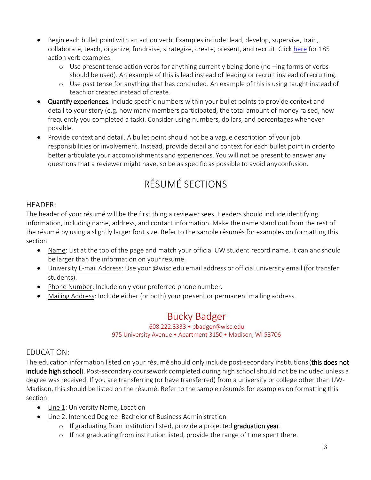- Begin each bullet point with an action verb. Examples include: lead, develop, supervise, train, collaborate, teach, organize, fundraise, strategize, create, present, and recruit. Click [here](https://bus.wisc.edu/-/media/bus/current-student-resources/bba/careers-internships/documents/185-action-verbs-resume-resource.pdf?la=en) for 185 action verb examples.
	- o Use present tense action verbs for anything currently being done (no –ing forms of verbs should be used). An example of this is lead instead of leading or recruit instead ofrecruiting.
	- o Use past tense for anything that has concluded. An example of this is using taught instead of teach or created instead of create.
- Quantify experiences. Include specific numbers within your bullet points to provide context and detail to your story (e.g. how many members participated, the total amount of money raised, how frequently you completed a task). Consider using numbers, dollars, and percentages whenever possible.
- Provide context and detail. A bullet point should not be a vague description of your job responsibilities or involvement. Instead, provide detail and context for each bullet point in orderto better articulate your accomplishments and experiences. You will not be present to answer any questions that a reviewer might have, so be as specific as possible to avoid anyconfusion.

# RÉSUMÉ SECTIONS

### HEADER:

The header of your résumé will be the first thing a reviewer sees. Headers should include identifying information, including name, address, and contact information. Make the name stand out from the rest of the résumé by using a slightly larger font size. Refer to the sample résumés for examples on formatting this section.

- Name: List at the top of the page and match your official UW student record name. It can andshould be larger than the information on your resume.
- University E-mail Address: Use your @wisc.edu email address or official university email (for transfer students).
- Phone Number: Include only your preferred phone number.
- Mailing Address: Include either (or both) your present or permanent mailing address.

# Bucky Badger

#### 608.222.3333 • [bbadger@wisc.edu](mailto:bbadger@wisc.edu) 975 University Avenue • Apartment 3150 • Madison, WI 53706

### EDUCATION:

The education information listed on your résumé should only include post-secondary institutions (this does not include high school). Post-secondary coursework completed during high school should not be included unless a degree was received. If you are transferring (or have transferred) from a university or college other than UW-Madison, this should be listed on the résumé. Refer to the sample résumés for examples on formatting this section.

- Line 1: University Name, Location
- Line 2: Intended Degree: Bachelor of Business Administration
	- o If graduating from institution listed, provide a projected graduation year.
	- o If not graduating from institution listed, provide the range of time spent there.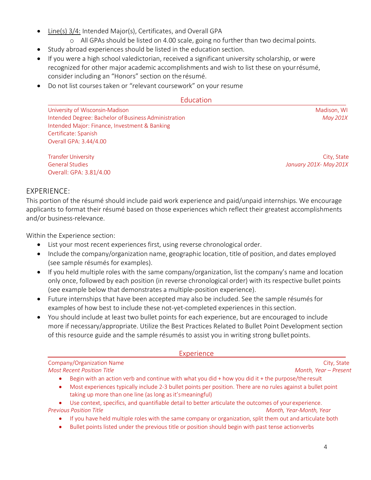- Line(s) 3/4: Intended Major(s), Certificates, and Overall GPA
	- o All GPAs should be listed on 4.00 scale, going no further than two decimal points.
- Study abroad experiences should be listed in the education section.
- If you were a high school valedictorian, received a significant university scholarship, or were recognized for other major academic accomplishments and wish to list these on yourrésumé, consider including an "Honors" section on the résumé.
- Do not list courses taken or "relevant coursework" on your resume

#### **Education**

University of Wisconsin-Madison Mathematic Service Construction of Madison, WI and Madison, WI and Madison, WI Intended Degree: Bachelor ofBusiness Administration *May 201X* Intended Major: Finance, Investment & Banking Certificate: Spanish Overall GPA: 3.44/4.00

Transfer University City, State City, State City, State City, State City, State City, State City, State City, State City, State City, State City, State City, State City, State City, State City, State City, State City, Stat General Studies *January 201X- May201X* Overall: GPA: 3.81/4.00

#### EXPERIENCE:

This portion of the résumé should include paid work experience and paid/unpaid internships. We encourage applicants to format their résumé based on those experiences which reflect their greatest accomplishments and/or business-relevance.

Within the Experience section:

- List your most recent experiences first, using reverse chronological order.
- Include the company/organization name, geographic location, title of position, and dates employed (see sample résumés for examples).
- If you held multiple roles with the same company/organization, list the company's name and location only once, followed by each position (in reverse chronological order) with its respective bullet points (see example below that demonstrates a multiple-position experience).
- Future internships that have been accepted may also be included. See the sample résumés for examples of how best to include these not-yet-completed experiences in this section.
- You should include at least two bullet points for each experience, but are encouraged to include more if necessary/appropriate. Utilize the Best Practices Related to Bullet Point Development section of this resource guide and the sample résumés to assist you in writing strong bullet points.

| Experience                                                                                                                                                                                                                                                                                                                                              |                         |  |
|---------------------------------------------------------------------------------------------------------------------------------------------------------------------------------------------------------------------------------------------------------------------------------------------------------------------------------------------------------|-------------------------|--|
| Company/Organization Name                                                                                                                                                                                                                                                                                                                               | City, State             |  |
| <b>Most Recent Position Title</b>                                                                                                                                                                                                                                                                                                                       | Month, Year - Present   |  |
| Begin with an action verb and continue with what you did + how you did it + the purpose/the result                                                                                                                                                                                                                                                      |                         |  |
| Most experiences typically include 2-3 bullet points per position. There are no rules against a bullet point<br>$\bullet$<br>taking up more than one line (as long as it's meaningful)                                                                                                                                                                  |                         |  |
| Use context, specifics, and quantifiable detail to better articulate the outcomes of your experience.<br>$\bullet$                                                                                                                                                                                                                                      |                         |  |
| <b>Previous Position Title</b>                                                                                                                                                                                                                                                                                                                          | Month, Year-Month, Year |  |
| If you have held multiple roles with the same company or organization, split them out and articulate both<br>$\bullet$<br>품 - Holland - Holland - Holland - Holland - Holland - Holland - Holland - Holland - Holland - Holland - Holland - Holland - Holland - Holland - Holland - Holland - Holland - Holland - Holland - Holland - Holland - Holland |                         |  |

• Bullet points listed under the previous title or position should begin with past tense actionverbs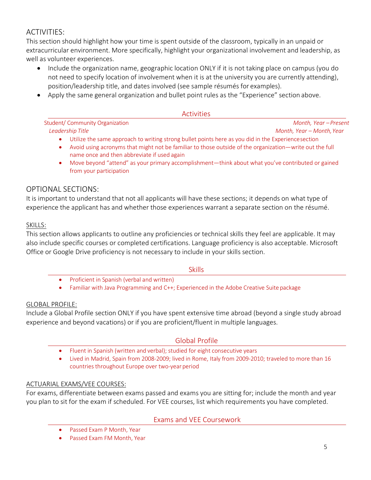### ACTIVITIES:

This section should highlight how your time is spent outside of the classroom, typically in an unpaid or extracurricular environment. More specifically, highlight your organizational involvement and leadership, as well as volunteer experiences.

- Include the organization name, geographic location ONLY if it is not taking place on campus (you do not need to specify location of involvement when it is at the university you are currently attending), position/leadership title, and dates involved (see sample résumés for examples).
- Apply the same general organization and bullet point rules as the "Experience" section above.

#### Activities

| Student/ Community Organization | Month, Year – Present     |
|---------------------------------|---------------------------|
| Leadership Title                | Month, Year – Month, Year |

- Utilize the same approach to writing strong bullet points here as you did in the Experiencesection
- Avoid using acronyms that might not be familiar to those outside of the organization—write out the full name once and then abbreviate if used again
- Move beyond "attend" as your primary accomplishment—think about what you've contributed or gained from your participation

#### OPTIONAL SECTIONS:

It is important to understand that not all applicants will have these sections; it depends on what type of experience the applicant has and whether those experiences warrant a separate section on the résumé.

#### SKILLS:

This section allows applicants to outline any proficiencies or technical skills they feel are applicable. It may also include specific courses or completed certifications. Language proficiency is also acceptable. Microsoft Office or Google Drive proficiency is not necessary to include in your skills section.

#### Skills

- Proficient in Spanish (verbal and written)
- Familiar with Java Programming and C++; Experienced in the Adobe Creative Suite package

#### GLOBAL PROFILE:

Include a Global Profile section ONLY if you have spent extensive time abroad (beyond a single study abroad experience and beyond vacations) or if you are proficient/fluent in multiple languages.

#### Global Profile

- Fluent in Spanish (written and verbal); studied for eight consecutive years
- Lived in Madrid, Spain from 2008-2009; lived in Rome, Italy from 2009-2010; traveled to more than 16 countries throughout Europe over two-year period

#### ACTUARIAL EXAMS/VEE COURSES:

For exams, differentiate between exams passed and exams you are sitting for; include the month and year you plan to sit for the exam if scheduled. For VEE courses, list which requirements you have completed.

Exams and VEE Coursework

- Passed Exam P Month, Year
- Passed Exam FM Month, Year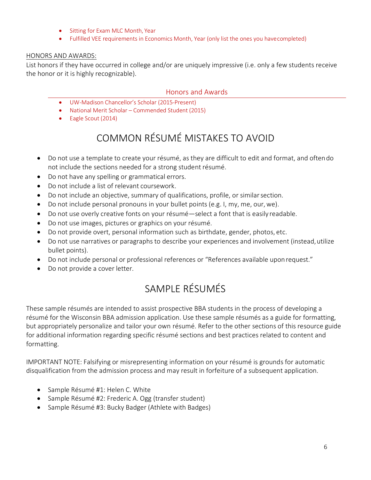- Sitting for Exam MLC Month, Year
- Fulfilled VEE requirements in Economics Month, Year (only list the ones you havecompleted)

#### HONORS AND AWARDS:

List honors if they have occurred in college and/or are uniquely impressive (i.e. only a few students receive the honor or it is highly recognizable).

#### Honors and Awards

- UW-Madison Chancellor's Scholar (2015-Present)
- National Merit Scholar Commended Student (2015)
- Eagle Scout (2014)

# COMMON RÉSUMÉ MISTAKES TO AVOID

- Do not use a template to create your résumé, as they are difficult to edit and format, and oftendo not include the sections needed for a strong student résumé.
- Do not have any spelling or grammatical errors.
- Do not include a list of relevant coursework.
- Do not include an objective, summary of qualifications, profile, or similarsection.
- Do not include personal pronouns in your bullet points (e.g. I, my, me, our, we).
- Do not use overly creative fonts on your résumé—select a font that is easily readable.
- Do not use images, pictures or graphics on your résumé.
- Do not provide overt, personal information such as birthdate, gender, photos, etc.
- Do not use narratives or paragraphs to describe your experiences and involvement (instead, utilize bullet points).
- Do not include personal or professional references or "References available uponrequest."
- Do not provide a cover letter.

# SAMPLE RÉSUMÉS

These sample résumés are intended to assist prospective BBA students in the process of developing a résumé for the Wisconsin BBA admission application. Use these sample résumés as a guide for formatting, but appropriately personalize and tailor your own résumé. Refer to the other sections of this resource guide for additional information regarding specific résumé sections and best practices related to content and formatting.

IMPORTANT NOTE: Falsifying or misrepresenting information on your résumé is grounds for automatic disqualification from the admission process and may result in forfeiture of a subsequent application.

- Sample Résumé #1: Helen C. White
- Sample Résumé #2: Frederic A. Ogg (transfer student)
- Sample Résumé #3: Bucky Badger (Athlete with Badges)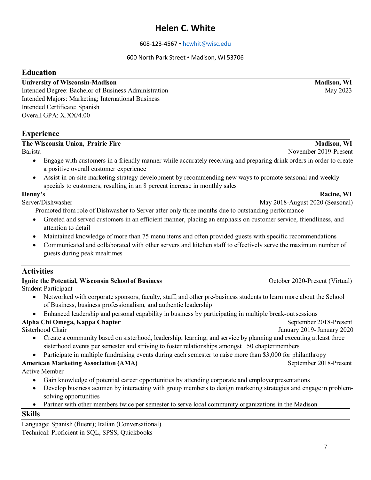## **Helen C. White**

#### 608-123-4567 • [hcwhit@wisc.edu](mailto:hcwhit@wisc.edu)

#### 600 North Park Street • Madison, WI 53706

#### **Education**

#### **University of Wisconsin-Madison Madison, WI**

Intended Degree: Bachelor of Business Administration May 2023 Intended Majors: Marketing; International Business Intended Certificate: Spanish Overall GPA: X.XX/4.00

#### **Experience**

#### **The Wisconsin Union, Prairie Fire Madison, WI and Madison, WI <b>Madison, WI Madison**, WI

Barista November 2019-Present

- Engage with customers in a friendly manner while accurately receiving and preparing drink orders in order to create a positive overall customer experience
- Assist in on-site marketing strategy development by recommending new ways to promote seasonal and weekly specials to customers, resulting in an 8 percent increase in monthly sales

**Denny's** Racine, WI

Server/Dishwasher May 2018-August 2020 (Seasonal)

Promoted from role of Dishwasher to Server after only three months due to outstanding performance

- Greeted and served customers in an efficient manner, placing an emphasis on customer service, friendliness, and attention to detail
- Maintained knowledge of more than 75 menu items and often provided guests with specific recommendations
- Communicated and collaborated with other servers and kitchen staff to effectively serve the maximum number of guests during peak mealtimes

#### **Activities**

| <b>Ignite the Potential, Wisconsin School of Business</b>                                                                                                                                                                                                                                                                                                                        |  |  |
|----------------------------------------------------------------------------------------------------------------------------------------------------------------------------------------------------------------------------------------------------------------------------------------------------------------------------------------------------------------------------------|--|--|
| $\alpha$ , 1, $\alpha$ , $\beta$ , $\beta$ , $\beta$ , $\beta$ , $\beta$ , $\beta$ , $\beta$ , $\beta$ , $\beta$ , $\beta$ , $\beta$ , $\beta$ , $\beta$ , $\beta$ , $\beta$ , $\beta$ , $\beta$ , $\beta$ , $\beta$ , $\beta$ , $\beta$ , $\beta$ , $\beta$ , $\beta$ , $\beta$ , $\beta$ , $\beta$ , $\beta$ , $\beta$ , $\beta$ , $\beta$ , $\beta$ , $\beta$ , $\beta$ , $\$ |  |  |

Student Participant

- Networked with corporate sponsors, faculty, staff, and other pre-business students to learn more about the School of Business, business professionalism, and authentic leadership
- Enhanced leadership and personal capability in business by participating in multiple break-outsessions

#### **Alpha Chi Omega, Kappa Chapter** September 2018-Present

Sisterhood Chair January 2019- January 2020

- Create a community based on sisterhood, leadership, learning, and service by planning and executing atleast three sisterhood events per semester and striving to foster relationships amongst 150 chaptermembers
- Participate in multiple fundraising events during each semester to raise more than \$3,000 for philanthropy

#### **American Marketing Association (AMA)** September 2018-Present

Active Member

- Gain knowledge of potential career opportunities by attending corporate and employer presentations
- Develop business acumen by interacting with group members to design marketing strategies and engage in problemsolving opportunities
- Partner with other members twice per semester to serve local community organizations in the Madison

#### **Skills**

Language: Spanish (fluent); Italian (Conversational) Technical: Proficient in SQL, SPSS, Quickbooks

**October 2020-Present (Virtual)**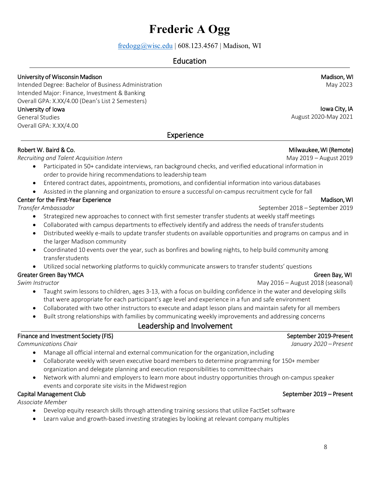# **Frederic A Ogg**

 $fredogg@wisc.edu$  | 608.123.4567 | Madison, WI

### Education

#### University of Wisconsin Madison\_ \_\_\_\_\_\_\_\_\_\_\_\_\_\_\_\_\_\_\_\_\_\_\_\_\_\_\_\_\_\_\_\_\_\_\_\_\_\_\_\_\_\_\_\_\_\_\_\_\_\_\_\_\_\_\_\_\_\_\_ \_ Madison, WI

Intended Degree: Bachelor of Business Administration May 2023 Intended Major: Finance, Investment & Banking Overall GPA: X.XX/4.00 (Dean's List 2 Semesters)

#### University of Iowa

General Studies Overall GPA: X.XX/4.00

#### Experience

#### Robert W. Baird & Co. Zool and the control of the control of the control of the control of the control of the control of the control of the control of the control of the control of the control of the control of the control

*Recruiting and Talent Acquisition Intern* May 2019 – August 2019

- Participated in 50+ candidate interviews, ran background checks, and verified educational information in order to provide hiring recommendations to leadership team
- Entered contract dates, appointments, promotions, and confidential information into various databases
- Assisted in the planning and organization to ensure a successful on-campus recruitment cycle for fall

#### Center for the First-Year Experience

*Transfer Ambassador* 

- Strategized new approaches to connect with first semester transfer students at weekly staff meetings
- Collaborated with campus departments to effectively identify and address the needs of transferstudents
- Distributed weekly e-mails to update transfer students on available opportunities and programs on campus and in the larger Madison community
- Coordinated 10 events over the year, such as bonfires and bowling nights, to help build community among transferstudents
- Utilized social networking platforms to quickly communicate answers to transfer students' questions

#### Greater Green Bay YMCA Green Bay, WI

*Swim Instructor* May 2016 – August 2018 (seasonal)

- Taught swim lessons to children, ages 3-13, with a focus on building confidence in the water and developing skills that were appropriate for each participant's age level and experience in a fun and safe environment
- Collaborated with two other instructors to execute and adapt lesson plans and maintain safety for all members
- Built strong relationships with families by communicating weekly improvements and addressing concerns

### Leadership and Involvement

#### Finance and Investment Society (FIS) September 2019-Present *Communications Chair January 2020 – Present* • Manage all official internal and external communication for the organization,including • Collaborate weekly with seven executive board members to determine programming for 150+ member organization and delegate planning and execution responsibilities to committeechairs • Network with alumni and employers to learn more about industry opportunities through on-campus speaker events and corporate site visits in the Midwestregion Capital Management Club **September 2019** – Present

*Associate Member*

- Develop equity research skills through attending training sessions that utilize FactSet software
- Learn value and growth-based investing strategies by looking at relevant company multiples

 Iowa City, IA August 2020-May 2021

Madison, WI

September 2018 – September 2019